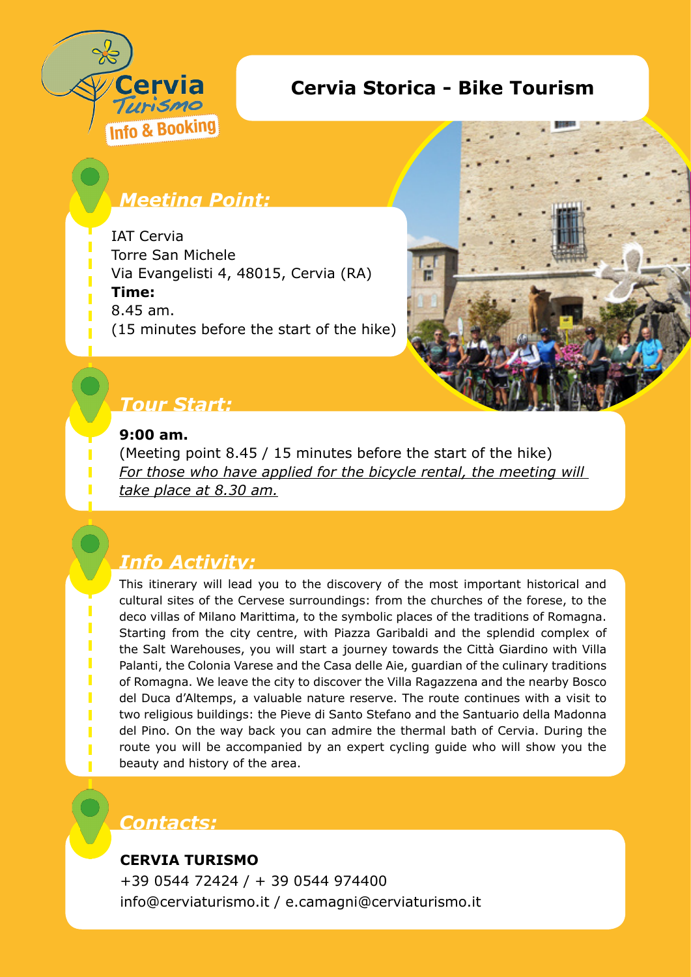

## **Cervia Storica - Bike Tourism**

# *Meeting Point:*

IAT Cervia Torre San Michele Via Evangelisti 4, 48015, Cervia (RA) **Time:**  8.45 am. (15 minutes before the start of the hike)



## *Tour Start:*

#### **9:00 am.**

(Meeting point 8.45 / 15 minutes before the start of the hike) For those who have applied for the bicycle rental, the meeting will *take place at 8.30 am.*

# *Info Activity:*

This itinerary will lead you to the discovery of the most important historical and cultural sites of the Cervese surroundings: from the churches of the forese, to the deco villas of Milano Marittima, to the symbolic places of the traditions of Romagna. Starting from the city centre, with Piazza Garibaldi and the splendid complex of the Salt Warehouses, you will start a journey towards the Città Giardino with Villa Palanti, the Colonia Varese and the Casa delle Aie, guardian of the culinary traditions of Romagna. We leave the city to discover the Villa Ragazzena and the nearby Bosco del Duca d'Altemps, a valuable nature reserve. The route continues with a visit to two religious buildings: the Pieve di Santo Stefano and the Santuario della Madonna del Pino. On the way back you can admire the thermal bath of Cervia. During the route you will be accompanied by an expert cycling guide who will show you the beauty and history of the area.

### *Contacts:*

#### **CERVIA TURISMO**

+39 0544 72424 / + 39 0544 974400 info@cerviaturismo.it / e.camagni@cerviaturismo.it